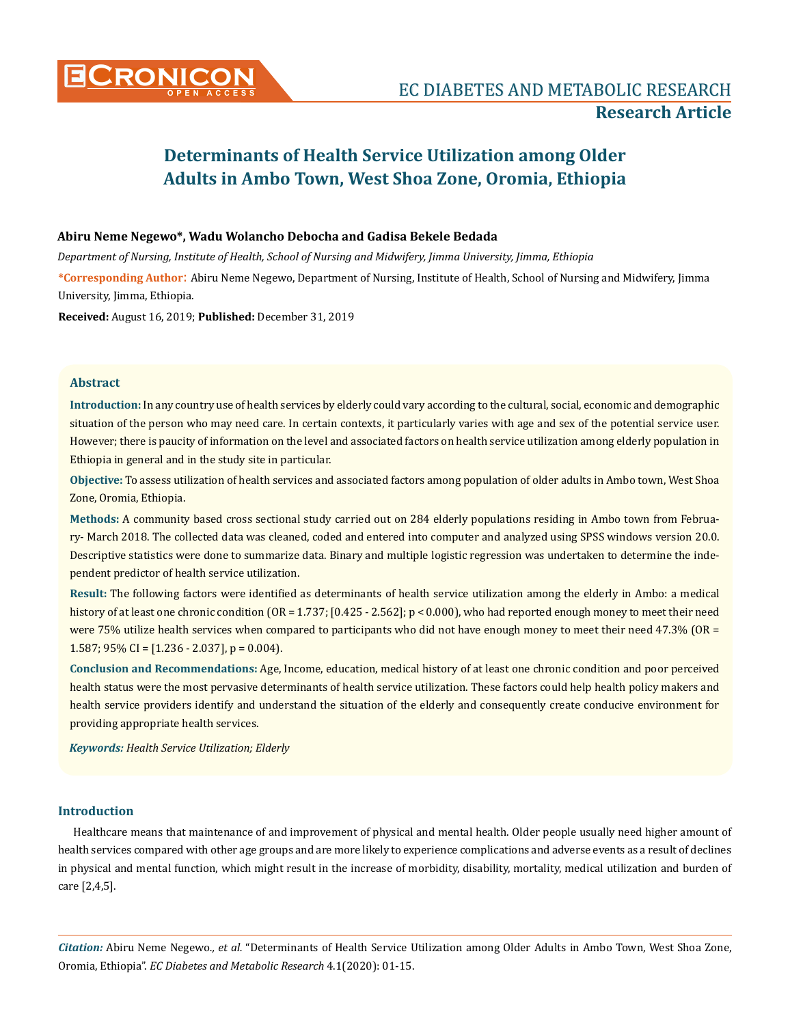

# **Determinants of Health Service Utilization among Older Adults in Ambo Town, West Shoa Zone, Oromia, Ethiopia**

### **Abiru Neme Negewo\*, Wadu Wolancho Debocha and Gadisa Bekele Bedada**

*Department of Nursing, Institute of Health, School of Nursing and Midwifery, Jimma University, Jimma, Ethiopia*

**\*Corresponding Author**: Abiru Neme Negewo, Department of Nursing, Institute of Health, School of Nursing and Midwifery, Jimma University, Jimma, Ethiopia.

**Received:** August 16, 2019; **Published:** December 31, 2019

### **Abstract**

**Introduction:** In any country use of health services by elderly could vary according to the cultural, social, economic and demographic situation of the person who may need care. In certain contexts, it particularly varies with age and sex of the potential service user. However; there is paucity of information on the level and associated factors on health service utilization among elderly population in Ethiopia in general and in the study site in particular.

**Objective:** To assess utilization of health services and associated factors among population of older adults in Ambo town, West Shoa Zone, Oromia, Ethiopia.

**Methods:** A community based cross sectional study carried out on 284 elderly populations residing in Ambo town from February- March 2018. The collected data was cleaned, coded and entered into computer and analyzed using SPSS windows version 20.0. Descriptive statistics were done to summarize data. Binary and multiple logistic regression was undertaken to determine the independent predictor of health service utilization.

**Result:** The following factors were identified as determinants of health service utilization among the elderly in Ambo: a medical history of at least one chronic condition (OR = 1.737; [0.425 - 2.562]; p < 0.000), who had reported enough money to meet their need were 75% utilize health services when compared to participants who did not have enough money to meet their need 47.3% (OR = 1.587;  $95\%$  CI = [1.236 - 2.037], p = 0.004).

**Conclusion and Recommendations:** Age, Income, education, medical history of at least one chronic condition and poor perceived health status were the most pervasive determinants of health service utilization. These factors could help health policy makers and health service providers identify and understand the situation of the elderly and consequently create conducive environment for providing appropriate health services.

*Keywords: Health Service Utilization; Elderly*

### **Introduction**

Healthcare means that maintenance of and improvement of physical and mental health. Older people usually need higher amount of health services compared with other age groups and are more likely to experience complications and adverse events as a result of declines in physical and mental function, which might result in the increase of morbidity, disability, mortality, medical utilization and burden of care [2,4,5].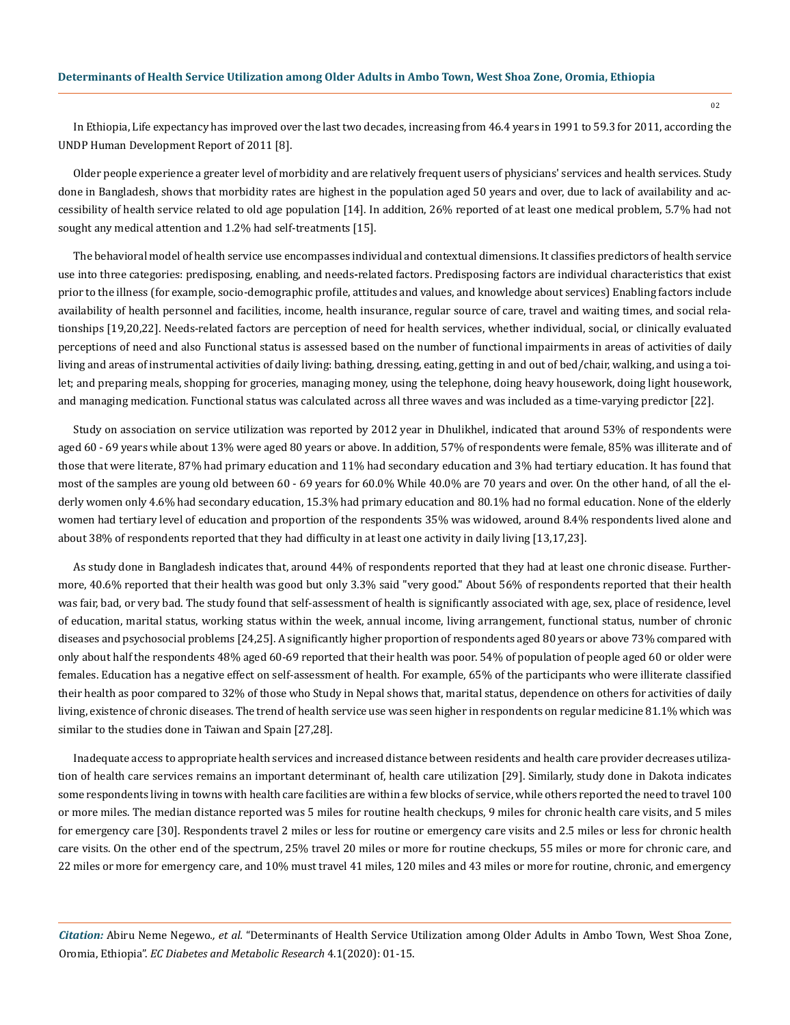In Ethiopia, Life expectancy has improved over the last two decades, increasing from 46.4 years in 1991 to 59.3 for 2011, according the UNDP Human Development Report of 2011 [8].

Older people experience a greater level of morbidity and are relatively frequent users of physicians' services and health services. Study done in Bangladesh, shows that morbidity rates are highest in the population aged 50 years and over, due to lack of availability and accessibility of health service related to old age population [14]. In addition, 26% reported of at least one medical problem, 5.7% had not sought any medical attention and 1.2% had self-treatments [15].

The behavioral model of health service use encompasses individual and contextual dimensions. It classifies predictors of health service use into three categories: predisposing, enabling, and needs**-**related factors. Predisposing factors are individual characteristics that exist prior to the illness (for example, socio-demographic profile, attitudes and values, and knowledge about services) Enabling factors include availability of health personnel and facilities, income, health insurance, regular source of care, travel and waiting times, and social relationships [19,20,22]. Needs-related factors are perception of need for health services, whether individual, social, or clinically evaluated perceptions of need and also Functional status is assessed based on the number of functional impairments in areas of activities of daily living and areas of instrumental activities of daily living: bathing, dressing, eating, getting in and out of bed/chair, walking, and using a toilet; and preparing meals, shopping for groceries, managing money, using the telephone, doing heavy housework, doing light housework, and managing medication. Functional status was calculated across all three waves and was included as a time-varying predictor [22].

Study on association on service utilization was reported by 2012 year in Dhulikhel, indicated that around 53% of respondents were aged 60 - 69 years while about 13% were aged 80 years or above. In addition, 57% of respondents were female, 85% was illiterate and of those that were literate, 87% had primary education and 11% had secondary education and 3% had tertiary education. It has found that most of the samples are young old between 60 - 69 years for 60.0% While 40.0% are 70 years and over. On the other hand, of all the elderly women only 4.6% had secondary education, 15.3% had primary education and 80.1% had no formal education. None of the elderly women had tertiary level of education and proportion of the respondents 35% was widowed, around 8.4% respondents lived alone and about 38% of respondents reported that they had difficulty in at least one activity in daily living [13,17,23].

As study done in Bangladesh indicates that, around 44% of respondents reported that they had at least one chronic disease. Furthermore, 40.6% reported that their health was good but only 3.3% said "very good." About 56% of respondents reported that their health was fair, bad, or very bad. The study found that self-assessment of health is significantly associated with age, sex, place of residence, level of education, marital status, working status within the week, annual income, living arrangement, functional status, number of chronic diseases and psychosocial problems [24,25]. A significantly higher proportion of respondents aged 80 years or above 73% compared with only about half the respondents 48% aged 60-69 reported that their health was poor. 54% of population of people aged 60 or older were females. Education has a negative effect on self-assessment of health. For example, 65% of the participants who were illiterate classified their health as poor compared to 32% of those who Study in Nepal shows that, marital status, dependence on others for activities of daily living, existence of chronic diseases. The trend of health service use was seen higher in respondents on regular medicine 81.1% which was similar to the studies done in Taiwan and Spain [27,28].

Inadequate access to appropriate health services and increased distance between residents and health care provider decreases utilization of health care services remains an important determinant of, health care utilization [29]. Similarly, study done in Dakota indicates some respondents living in towns with health care facilities are within a few blocks of service, while others reported the need to travel 100 or more miles. The median distance reported was 5 miles for routine health checkups, 9 miles for chronic health care visits, and 5 miles for emergency care [30]. Respondents travel 2 miles or less for routine or emergency care visits and 2.5 miles or less for chronic health care visits. On the other end of the spectrum, 25% travel 20 miles or more for routine checkups, 55 miles or more for chronic care, and 22 miles or more for emergency care, and 10% must travel 41 miles, 120 miles and 43 miles or more for routine, chronic, and emergency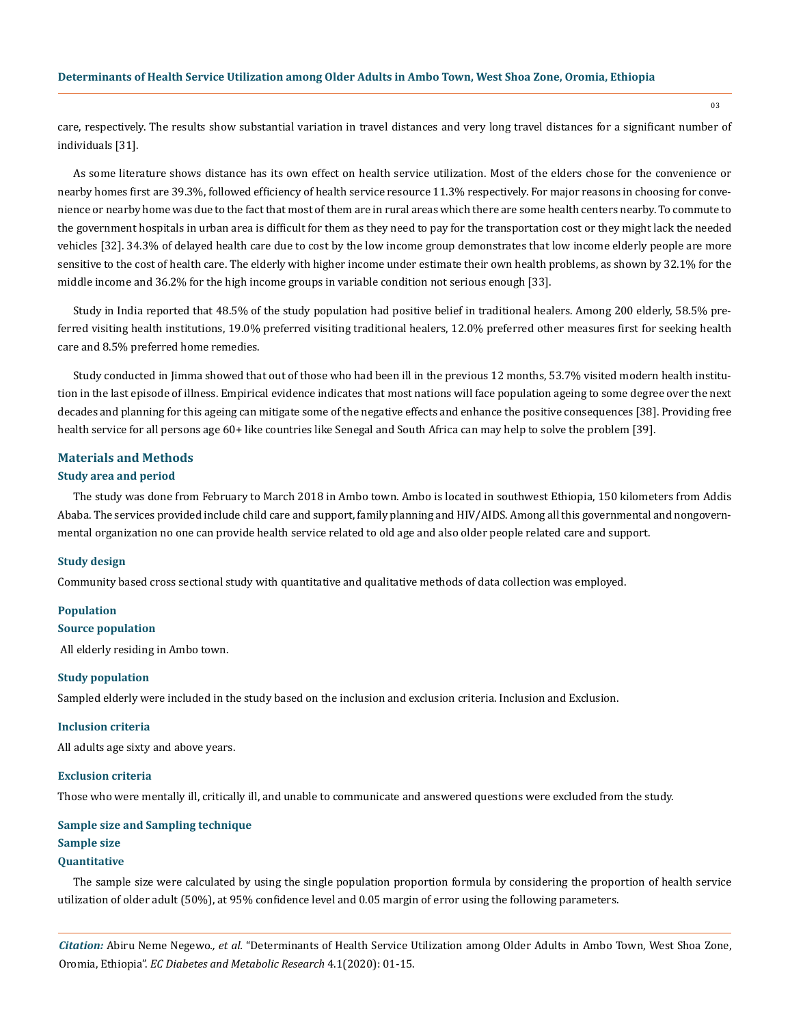care, respectively. The results show substantial variation in travel distances and very long travel distances for a significant number of individuals [31].

As some literature shows distance has its own effect on health service utilization. Most of the elders chose for the convenience or nearby homes first are 39.3%, followed efficiency of health service resource 11.3% respectively. For major reasons in choosing for convenience or nearby home was due to the fact that most of them are in rural areas which there are some health centers nearby. To commute to the government hospitals in urban area is difficult for them as they need to pay for the transportation cost or they might lack the needed vehicles [32]. 34.3% of delayed health care due to cost by the low income group demonstrates that low income elderly people are more sensitive to the cost of health care. The elderly with higher income under estimate their own health problems, as shown by 32.1% for the middle income and 36.2% for the high income groups in variable condition not serious enough [33].

Study in India reported that 48.5% of the study population had positive belief in traditional healers. Among 200 elderly, 58.5% preferred visiting health institutions, 19.0% preferred visiting traditional healers, 12.0% preferred other measures first for seeking health care and 8.5% preferred home remedies.

Study conducted in Jimma showed that out of those who had been ill in the previous 12 months, 53.7% visited modern health institution in the last episode of illness. Empirical evidence indicates that most nations will face population ageing to some degree over the next decades and planning for this ageing can mitigate some of the negative effects and enhance the positive consequences [38]. Providing free health service for all persons age 60+ like countries like Senegal and South Africa can may help to solve the problem [39].

#### **Materials and Methods**

### **Study area and period**

The study was done from February to March 2018 in Ambo town. Ambo is located in southwest Ethiopia, 150 kilometers from Addis Ababa. The services provided include child care and support, family planning and HIV/AIDS. Among all this governmental and nongovernmental organization no one can provide health service related to old age and also older people related care and support.

#### **Study design**

Community based cross sectional study with quantitative and qualitative methods of data collection was employed.

#### **Population**

### **Source population**

All elderly residing in Ambo town.

#### **Study population**

Sampled elderly were included in the study based on the inclusion and exclusion criteria. Inclusion and Exclusion.

#### **Inclusion criteria**

All adults age sixty and above years.

#### **Exclusion criteria**

Those who were mentally ill, critically ill, and unable to communicate and answered questions were excluded from the study.

#### **Sample size and Sampling technique**

### **Sample size**

### **Quantitative**

The sample size were calculated by using the single population proportion formula by considering the proportion of health service utilization of older adult (50%), at 95% confidence level and 0.05 margin of error using the following parameters.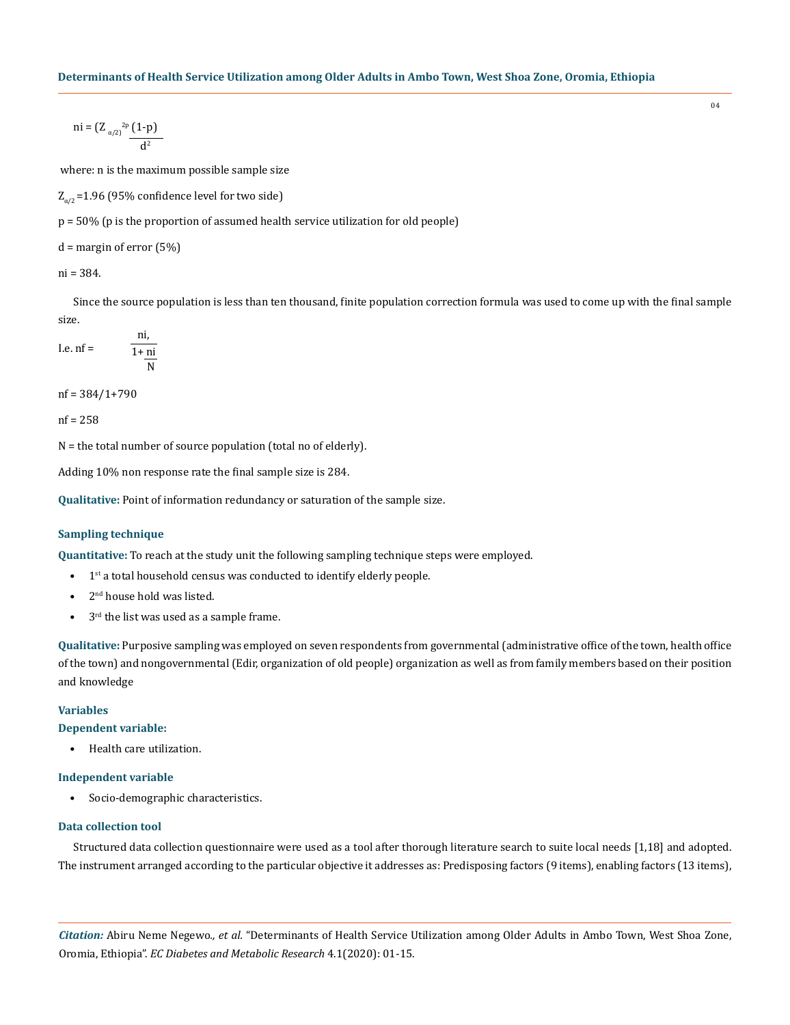ni = 
$$
(Z_{\alpha/2})^{2p} (1-p)
$$
  
 $\frac{d^2}{dx^2}$ 

where: n is the maximum possible sample size

 $Z_{\alpha/2}$  =1.96 (95% confidence level for two side)

p = 50% (p is the proportion of assumed health service utilization for old people)

 $d =$  margin of error  $(5%)$ 

ni = 384.

Since the source population is less than ten thousand, finite population correction formula was used to come up with the final sample size.

I.e. nf = 
$$
\frac{ni}{1 + \frac{ni}{N}}
$$

nf = 384/1+790

nf = 258

N = the total number of source population (total no of elderly).

Adding 10% non response rate the final sample size is 284.

**Qualitative:** Point of information redundancy or saturation of the sample size.

### **Sampling technique**

**Quantitative:** To reach at the study unit the following sampling technique steps were employed.

- $\bullet$  1<sup>st</sup> a total household census was conducted to identify elderly people.
- 2<sup>nd</sup> house hold was listed.
- $\bullet$  3<sup>rd</sup> the list was used as a sample frame.

**Qualitative:** Purposive sampling was employed on seven respondents from governmental (administrative office of the town, health office of the town) and nongovernmental (Edir, organization of old people) organization as well as from family members based on their position and knowledge

#### **Variables**

### **Dependent variable:**

• Health care utilization.

### **Independent variable**

• Socio-demographic characteristics.

### **Data collection tool**

Structured data collection questionnaire were used as a tool after thorough literature search to suite local needs [1,18] and adopted. The instrument arranged according to the particular objective it addresses as: Predisposing factors (9 items), enabling factors (13 items),

*Citation:* Abiru Neme Negewo*., et al.* "Determinants of Health Service Utilization among Older Adults in Ambo Town, West Shoa Zone, Oromia, Ethiopia". *EC Diabetes and Metabolic Research* 4.1(2020): 01-15.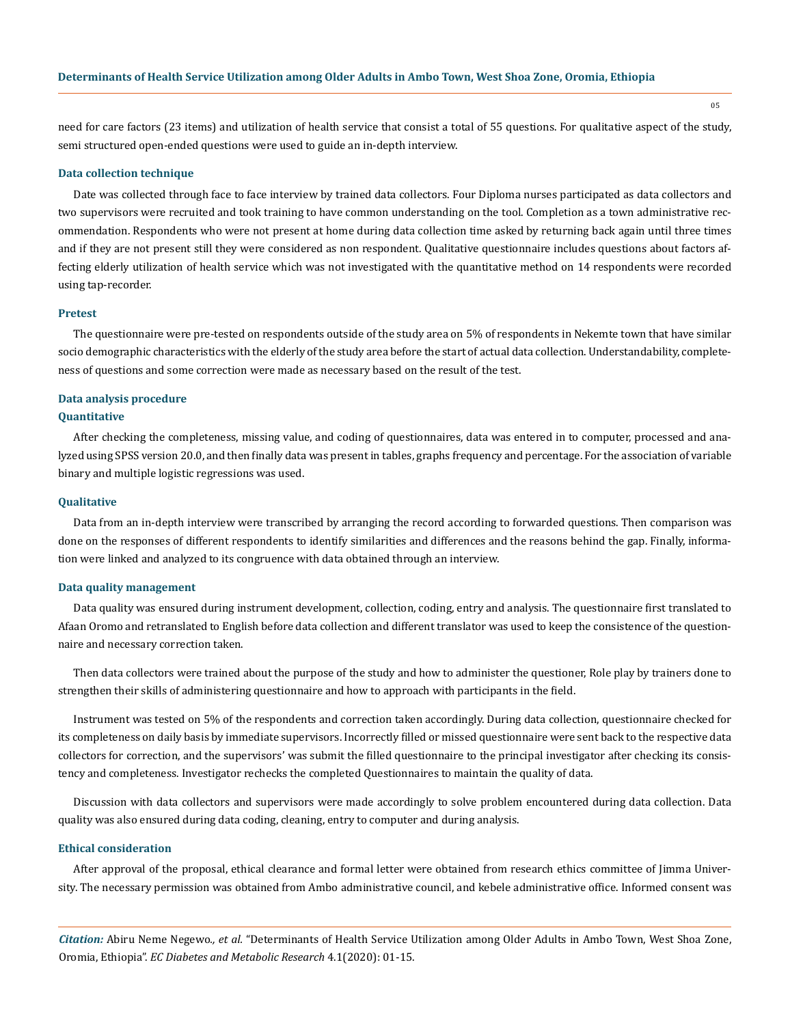need for care factors (23 items) and utilization of health service that consist a total of 55 questions. For qualitative aspect of the study, semi structured open-ended questions were used to guide an in-depth interview.

#### **Data collection technique**

Date was collected through face to face interview by trained data collectors. Four Diploma nurses participated as data collectors and two supervisors were recruited and took training to have common understanding on the tool. Completion as a town administrative recommendation. Respondents who were not present at home during data collection time asked by returning back again until three times and if they are not present still they were considered as non respondent. Qualitative questionnaire includes questions about factors affecting elderly utilization of health service which was not investigated with the quantitative method on 14 respondents were recorded using tap-recorder.

#### **Pretest**

The questionnaire were pre-tested on respondents outside of the study area on 5% of respondents in Nekemte town that have similar socio demographic characteristics with the elderly of the study area before the start of actual data collection. Understandability, completeness of questions and some correction were made as necessary based on the result of the test.

## **Data analysis procedure**

### **Quantitative**

After checking the completeness, missing value, and coding of questionnaires, data was entered in to computer, processed and analyzed using SPSS version 20.0, and then finally data was present in tables, graphs frequency and percentage. For the association of variable binary and multiple logistic regressions was used.

#### **Qualitative**

Data from an in-depth interview were transcribed by arranging the record according to forwarded questions. Then comparison was done on the responses of different respondents to identify similarities and differences and the reasons behind the gap. Finally, information were linked and analyzed to its congruence with data obtained through an interview.

#### **Data quality management**

Data quality was ensured during instrument development, collection, coding, entry and analysis. The questionnaire first translated to Afaan Oromo and retranslated to English before data collection and different translator was used to keep the consistence of the questionnaire and necessary correction taken.

Then data collectors were trained about the purpose of the study and how to administer the questioner, Role play by trainers done to strengthen their skills of administering questionnaire and how to approach with participants in the field.

Instrument was tested on 5% of the respondents and correction taken accordingly. During data collection, questionnaire checked for its completeness on daily basis by immediate supervisors. Incorrectly filled or missed questionnaire were sent back to the respective data collectors for correction, and the supervisors' was submit the filled questionnaire to the principal investigator after checking its consistency and completeness. Investigator rechecks the completed Questionnaires to maintain the quality of data.

Discussion with data collectors and supervisors were made accordingly to solve problem encountered during data collection. Data quality was also ensured during data coding, cleaning, entry to computer and during analysis.

### **Ethical consideration**

After approval of the proposal, ethical clearance and formal letter were obtained from research ethics committee of Jimma University. The necessary permission was obtained from Ambo administrative council, and kebele administrative office. Informed consent was

*Citation:* Abiru Neme Negewo*., et al.* "Determinants of Health Service Utilization among Older Adults in Ambo Town, West Shoa Zone, Oromia, Ethiopia". *EC Diabetes and Metabolic Research* 4.1(2020): 01-15.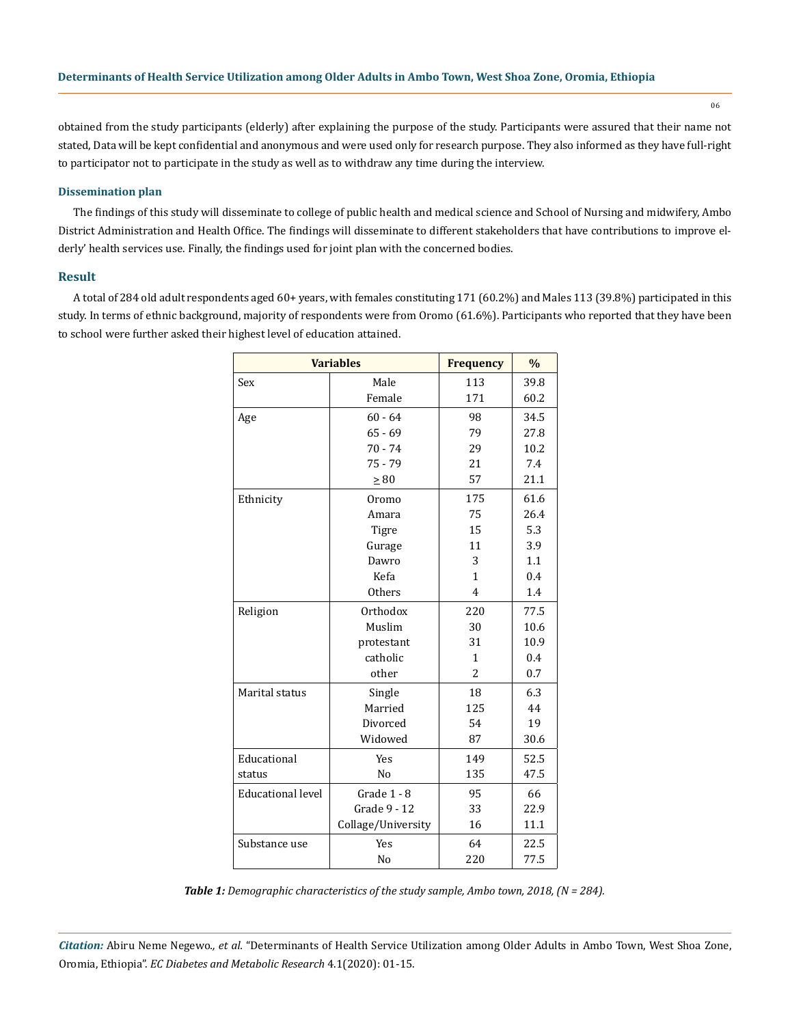obtained from the study participants (elderly) after explaining the purpose of the study. Participants were assured that their name not stated, Data will be kept confidential and anonymous and were used only for research purpose. They also informed as they have full-right to participator not to participate in the study as well as to withdraw any time during the interview.

### **Dissemination plan**

The findings of this study will disseminate to college of public health and medical science and School of Nursing and midwifery, Ambo District Administration and Health Office. The findings will disseminate to different stakeholders that have contributions to improve elderly' health services use. Finally, the findings used for joint plan with the concerned bodies.

### **Result**

A total of 284 old adult respondents aged 60+ years, with females constituting 171 (60.2%) and Males 113 (39.8%) participated in this study. In terms of ethnic background, majority of respondents were from Oromo (61.6%). Participants who reported that they have been to school were further asked their highest level of education attained.

|                          | <b>Variables</b>   | <b>Frequency</b> | $\%$ |
|--------------------------|--------------------|------------------|------|
| Sex                      | Male               | 113              | 39.8 |
|                          | Female             | 171              | 60.2 |
| Age                      | $60 - 64$          | 98               | 34.5 |
|                          | $65 - 69$          | 79               | 27.8 |
|                          | $70 - 74$          | 29               | 10.2 |
|                          | $75 - 79$          | 21               | 7.4  |
|                          | $\geq 80$          | 57               | 21.1 |
| Ethnicity                | Oromo              | 175              | 61.6 |
|                          | Amara              | 75               | 26.4 |
|                          | Tigre              | 15               | 5.3  |
|                          | Gurage             | 11               | 3.9  |
|                          | Dawro              | 3                | 1.1  |
|                          | Kefa               | $\mathbf{1}$     | 0.4  |
|                          | <b>Others</b>      | 4                | 1.4  |
| Religion                 | Orthodox           | 220              | 77.5 |
|                          | Muslim             | 30               | 10.6 |
|                          | protestant         | 31               | 10.9 |
|                          | catholic           | $\mathbf{1}$     | 0.4  |
|                          | other              | $\overline{c}$   | 0.7  |
| Marital status           | Single             | 18               | 6.3  |
|                          | Married            | 125              | 44   |
|                          | Divorced           | 54               | 19   |
|                          | Widowed            | 87               | 30.6 |
| Educational              | <b>Yes</b>         | 149              | 52.5 |
| status                   | N <sub>o</sub>     | 135              | 47.5 |
| <b>Educational level</b> | Grade 1 - 8        | 95               | 66   |
|                          | Grade 9 - 12       | 33               | 22.9 |
|                          | Collage/University | 16               | 11.1 |
| Substance use            | Yes                | 64               | 22.5 |
|                          | N <sub>o</sub>     | 220              | 77.5 |

*Table 1: Demographic characteristics of the study sample, Ambo town, 2018, (N = 284).*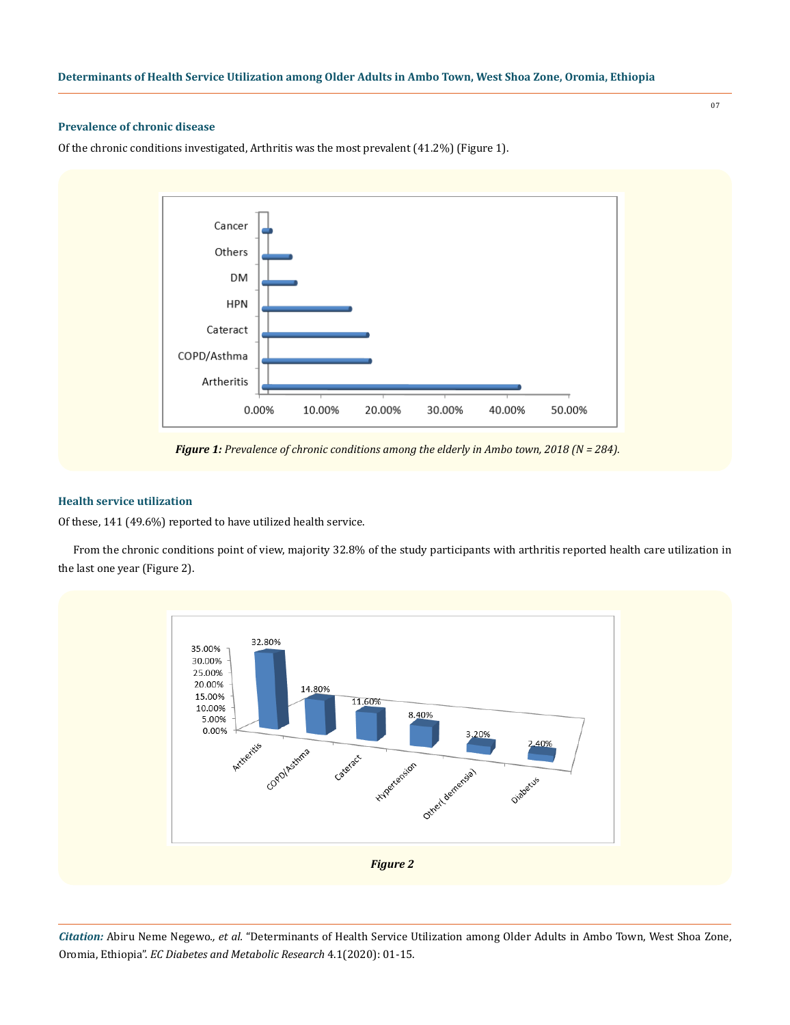### **Prevalence of chronic disease**

Of the chronic conditions investigated, Arthritis was the most prevalent (41.2%) (Figure 1).



*Figure 1: Prevalence of chronic conditions among the elderly in Ambo town, 2018 (N = 284).*

### **Health service utilization**

Of these, 141 (49.6%) reported to have utilized health service.

From the chronic conditions point of view, majority 32.8% of the study participants with arthritis reported health care utilization in the last one year (Figure 2).



*Citation:* Abiru Neme Negewo*., et al.* "Determinants of Health Service Utilization among Older Adults in Ambo Town, West Shoa Zone, Oromia, Ethiopia". *EC Diabetes and Metabolic Research* 4.1(2020): 01-15.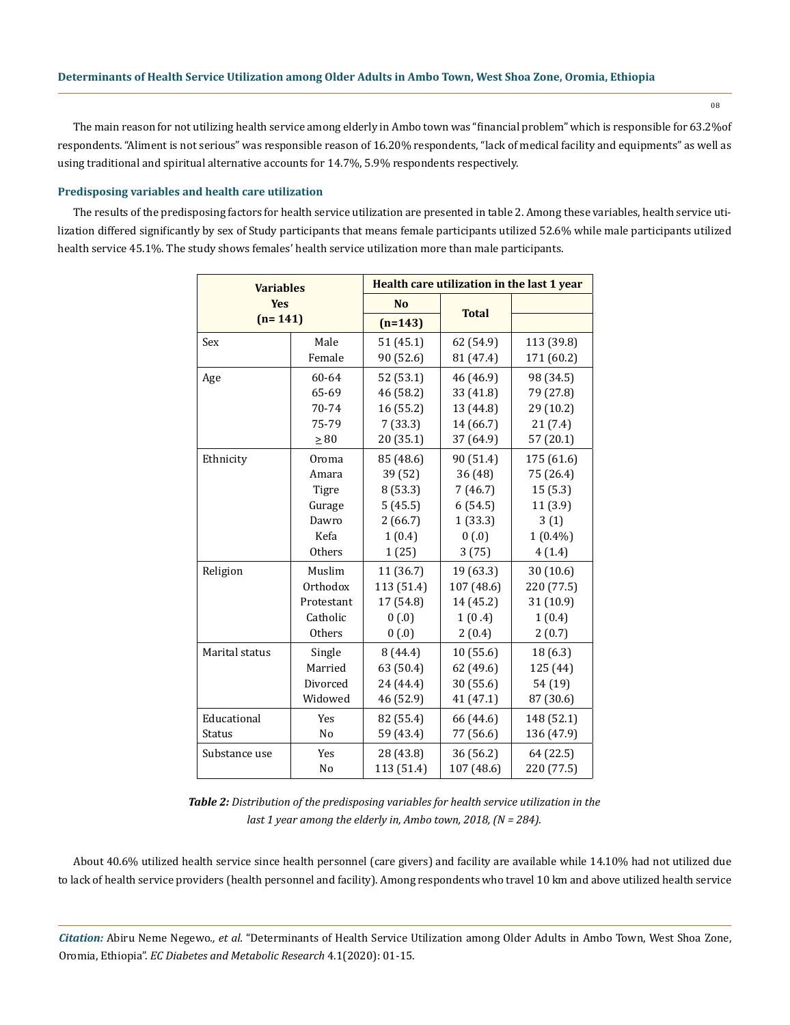The main reason for not utilizing health service among elderly in Ambo town was "financial problem" which is responsible for 63.2%of respondents. "Aliment is not serious" was responsible reason of 16.20% respondents, "lack of medical facility and equipments" as well as using traditional and spiritual alternative accounts for 14.7%, 5.9% respondents respectively.

### **Predisposing variables and health care utilization**

The results of the predisposing factors for health service utilization are presented in table 2. Among these variables, health service utilization differed significantly by sex of Study participants that means female participants utilized 52.6% while male participants utilized health service 45.1%. The study shows females' health service utilization more than male participants.

| <b>Variables</b><br><b>Yes</b><br>$(n=141)$ |            | Health care utilization in the last 1 year |              |            |  |
|---------------------------------------------|------------|--------------------------------------------|--------------|------------|--|
|                                             |            | <b>No</b>                                  |              |            |  |
|                                             |            | $(n=143)$                                  | <b>Total</b> |            |  |
| Sex                                         | Male       | 51(45.1)                                   | 62 (54.9)    | 113 (39.8) |  |
|                                             | Female     | 90 (52.6)                                  | 81 (47.4)    | 171 (60.2) |  |
| Age                                         | 60-64      | 52 (53.1)                                  | 46 (46.9)    | 98 (34.5)  |  |
|                                             | 65-69      | 46 (58.2)                                  | 33 (41.8)    | 79 (27.8)  |  |
|                                             | 70-74      | 16 (55.2)                                  | 13 (44.8)    | 29 (10.2)  |  |
|                                             | 75-79      | 7(33.3)                                    | 14 (66.7)    | 21(7.4)    |  |
|                                             | $\geq 80$  | 20 (35.1)                                  | 37 (64.9)    | 57 (20.1)  |  |
| Ethnicity                                   | Oroma      | 85 (48.6)                                  | 90 (51.4)    | 175 (61.6) |  |
|                                             | Amara      | 39 (52)                                    | 36 (48)      | 75 (26.4)  |  |
|                                             | Tigre      | 8 (53.3)                                   | 7(46.7)      | 15(5.3)    |  |
|                                             | Gurage     | 5(45.5)                                    | 6(54.5)      | 11 (3.9)   |  |
|                                             | Dawro      | 2(66.7)                                    | 1(33.3)      | 3(1)       |  |
|                                             | Kefa       | 1(0.4)                                     | 0(0.0)       | $1(0.4\%)$ |  |
|                                             | Others     | 1(25)                                      | 3(75)        | 4(1.4)     |  |
| Religion                                    | Muslim     | 11 (36.7)                                  | 19 (63.3)    | 30(10.6)   |  |
|                                             | Orthodox   | 113 (51.4)                                 | 107 (48.6)   | 220 (77.5) |  |
|                                             | Protestant | 17 (54.8)                                  | 14 (45.2)    | 31 (10.9)  |  |
|                                             | Catholic   | 0(0.0)                                     | 1(0.4)       | 1(0.4)     |  |
|                                             | Others     | 0(0.0)                                     | 2(0.4)       | 2(0.7)     |  |
| Marital status                              | Single     | 8(44.4)                                    | 10 (55.6)    | 18 (6.3)   |  |
|                                             | Married    | 63 (50.4)                                  | 62 (49.6)    | 125 (44)   |  |
|                                             | Divorced   | 24 (44.4)                                  | 30 (55.6)    | 54 (19)    |  |
|                                             | Widowed    | 46 (52.9)                                  | 41 (47.1)    | 87 (30.6)  |  |
| Educational                                 | Yes        | 82 (55.4)                                  | 66 (44.6)    | 148 (52.1) |  |
| <b>Status</b>                               | No         | 59 (43.4)                                  | 77 (56.6)    | 136 (47.9) |  |
| Substance use                               | Yes        | 28 (43.8)                                  | 36 (56.2)    | 64 (22.5)  |  |
|                                             | No         | 113 (51.4)                                 | 107 (48.6)   | 220 (77.5) |  |

*Table 2: Distribution of the predisposing variables for health service utilization in the last 1 year among the elderly in, Ambo town, 2018, (N = 284).*

About 40.6% utilized health service since health personnel (care givers) and facility are available while 14.10% had not utilized due to lack of health service providers (health personnel and facility). Among respondents who travel 10 km and above utilized health service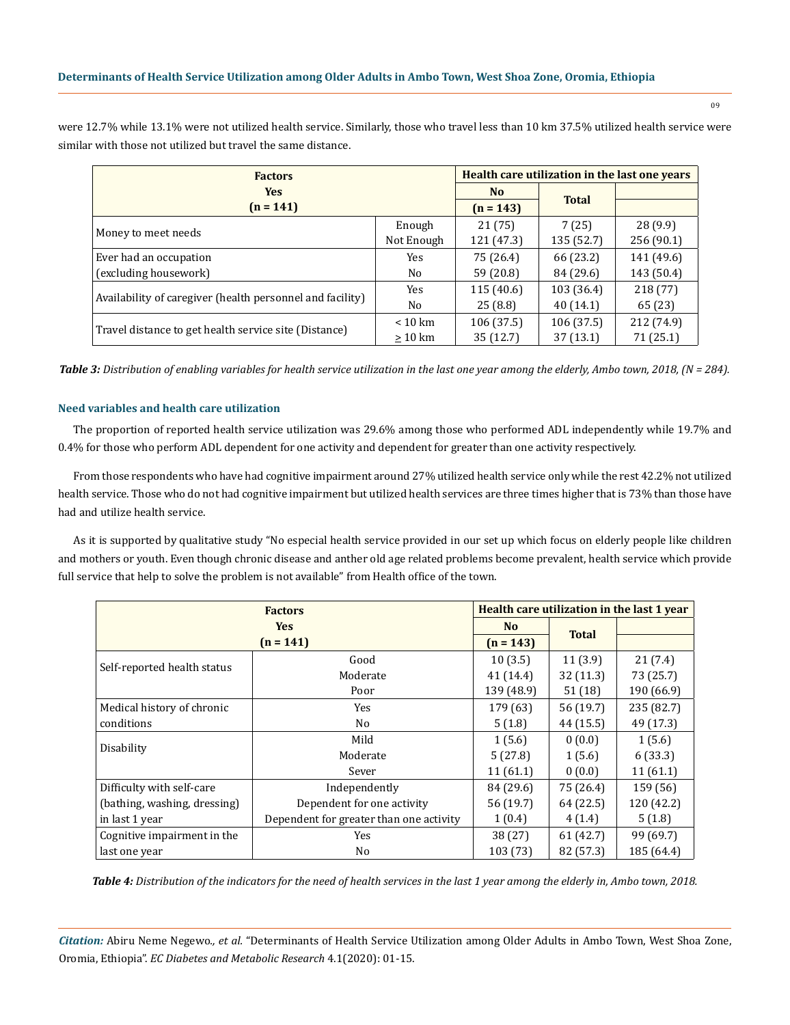were 12.7% while 13.1% were not utilized health service. Similarly, those who travel less than 10 km 37.5% utilized health service were similar with those not utilized but travel the same distance.

| <b>Factors</b><br><b>Yes</b><br>$(n = 141)$               |                                                                                                                | Health care utilization in the last one years |              |            |
|-----------------------------------------------------------|----------------------------------------------------------------------------------------------------------------|-----------------------------------------------|--------------|------------|
|                                                           |                                                                                                                | N <sub>o</sub>                                | <b>Total</b> |            |
|                                                           |                                                                                                                | $(n = 143)$                                   |              |            |
| Money to meet needs                                       | Enough                                                                                                         | 21(75)                                        | 7(25)        | 28(9.9)    |
|                                                           | 121 (47.3)<br>Not Enough<br>75 (26.4)<br>66 (23.2)<br>Yes.<br>59 (20.8)<br>84 (29.6)<br>No<br>115(40.6)<br>Yes | 135 (52.7)                                    | 256 (90.1)   |            |
| Ever had an occupation                                    |                                                                                                                |                                               |              | 141 (49.6) |
| (excluding housework)                                     |                                                                                                                |                                               |              | 143 (50.4) |
|                                                           |                                                                                                                |                                               | 103 (36.4)   | 218 (77)   |
| Availability of caregiver (health personnel and facility) | No                                                                                                             | 40(14.1)<br>25(8.8)                           |              | 65 (23)    |
|                                                           | $< 10 \text{ km}$                                                                                              | 106 (37.5)                                    | 106(37.5)    | 212 (74.9) |
| Travel distance to get health service site (Distance)     | $\geq 10$ km                                                                                                   | 35(12.7)                                      | 37(13.1)     | 71 (25.1)  |

*Table 3: Distribution of enabling variables for health service utilization in the last one year among the elderly, Ambo town, 2018, (N = 284).*

### **Need variables and health care utilization**

The proportion of reported health service utilization was 29.6% among those who performed ADL independently while 19.7% and 0.4% for those who perform ADL dependent for one activity and dependent for greater than one activity respectively.

From those respondents who have had cognitive impairment around 27% utilized health service only while the rest 42.2% not utilized health service. Those who do not had cognitive impairment but utilized health services are three times higher that is 73% than those have had and utilize health service.

As it is supported by qualitative study "No especial health service provided in our set up which focus on elderly people like children and mothers or youth. Even though chronic disease and anther old age related problems become prevalent, health service which provide full service that help to solve the problem is not available" from Health office of the town.

| <b>Factors</b>               |                                         | Health care utilization in the last 1 year |              |            |
|------------------------------|-----------------------------------------|--------------------------------------------|--------------|------------|
| <b>Yes</b><br>$(n = 141)$    |                                         | N <sub>o</sub>                             | <b>Total</b> |            |
|                              |                                         | $(n = 143)$                                |              |            |
|                              | Good                                    | 10(3.5)                                    | 11(3.9)      | 21(7.4)    |
| Self-reported health status  | Moderate                                | 41(14.4)                                   | 32(11.3)     | 73 (25.7)  |
|                              | Poor                                    | 139 (48.9)                                 | 51(18)       | 190 (66.9) |
| Medical history of chronic   | Yes                                     | 179 (63)                                   | 56 (19.7)    | 235 (82.7) |
| conditions                   | No.                                     | 5(1.8)                                     | 44 (15.5)    | 49 (17.3)  |
|                              | Mild                                    | 1(5.6)                                     | 0(0.0)       | 1(5.6)     |
| Disability                   | Moderate                                | 5(27.8)                                    | 1(5.6)       | 6(33.3)    |
|                              | Sever                                   | 11(61.1)                                   | 0(0.0)       | 11(61.1)   |
| Difficulty with self-care    | Independently                           | 84 (29.6)                                  | 75 (26.4)    | 159 (56)   |
| (bathing, washing, dressing) | Dependent for one activity              | 56 (19.7)                                  | 64 (22.5)    | 120 (42.2) |
| in last 1 year               | Dependent for greater than one activity | 1(0.4)                                     | 4(1.4)       | 5(1.8)     |
| Cognitive impairment in the  | Yes                                     | 38 (27)                                    | 61 (42.7)    | 99 (69.7)  |
| last one year                | No.                                     | 103 (73)                                   | 82 (57.3)    | 185 (64.4) |

*Table 4: Distribution of the indicators for the need of health services in the last 1 year among the elderly in, Ambo town, 2018.*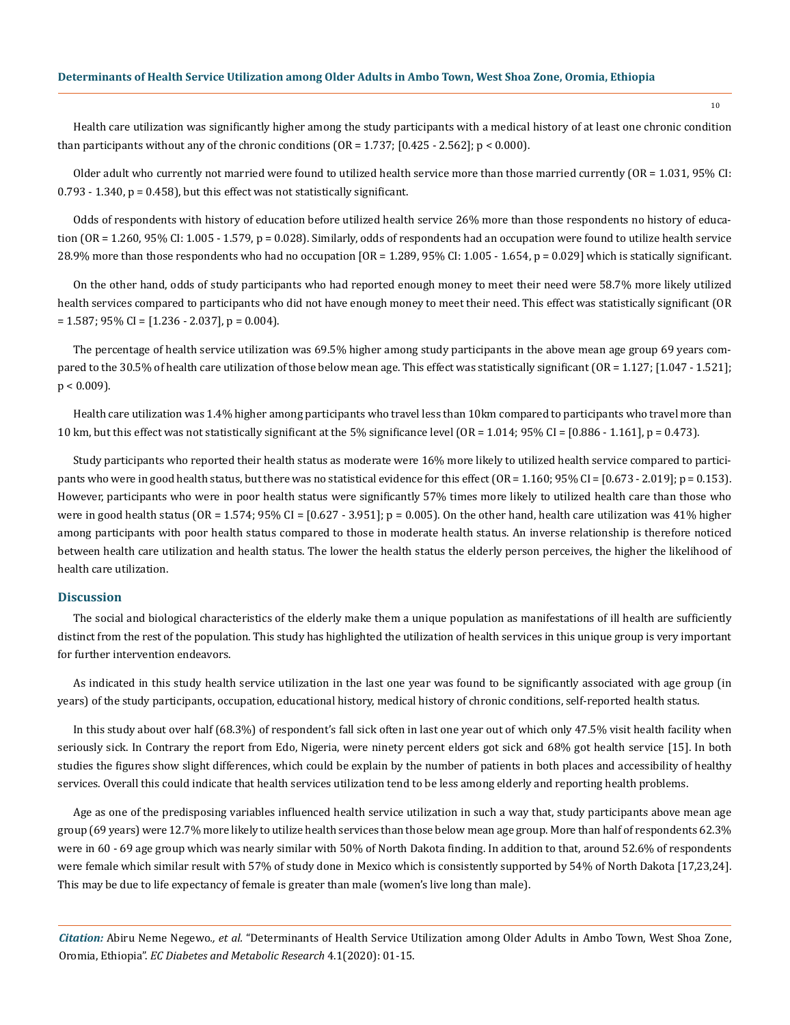Health care utilization was significantly higher among the study participants with a medical history of at least one chronic condition than participants without any of the chronic conditions  $(OR = 1.737; [0.425 - 2.562]; p < 0.000)$ .

Older adult who currently not married were found to utilized health service more than those married currently (OR = 1.031, 95% CI:  $0.793 - 1.340$ ,  $p = 0.458$ ), but this effect was not statistically significant.

Odds of respondents with history of education before utilized health service 26% more than those respondents no history of education (OR = 1.260, 95% CI: 1.005 - 1.579, p = 0.028). Similarly, odds of respondents had an occupation were found to utilize health service 28.9% more than those respondents who had no occupation [OR = 1.289, 95% CI: 1.005 - 1.654, p = 0.029] which is statically significant.

On the other hand, odds of study participants who had reported enough money to meet their need were 58.7% more likely utilized health services compared to participants who did not have enough money to meet their need. This effect was statistically significant (OR  $= 1.587$ ; 95% CI = [1.236 - 2.037], p = 0.004).

The percentage of health service utilization was 69.5% higher among study participants in the above mean age group 69 years compared to the 30.5% of health care utilization of those below mean age. This effect was statistically significant (OR = 1.127; [1.047 - 1.521];  $p < 0.009$ ).

Health care utilization was 1.4% higher among participants who travel less than 10km compared to participants who travel more than 10 km, but this effect was not statistically significant at the 5% significance level (OR = 1.014; 95% CI = [0.886 - 1.161], p = 0.473).

Study participants who reported their health status as moderate were 16% more likely to utilized health service compared to participants who were in good health status, but there was no statistical evidence for this effect (OR = 1.160; 95% CI = [0.673 - 2.019]; p = 0.153). However, participants who were in poor health status were significantly 57% times more likely to utilized health care than those who were in good health status (OR = 1.574;  $95\%$  CI = [0.627 - 3.951]; p = 0.005). On the other hand, health care utilization was 41% higher among participants with poor health status compared to those in moderate health status. An inverse relationship is therefore noticed between health care utilization and health status. The lower the health status the elderly person perceives, the higher the likelihood of health care utilization.

### **Discussion**

The social and biological characteristics of the elderly make them a unique population as manifestations of ill health are sufficiently distinct from the rest of the population. This study has highlighted the utilization of health services in this unique group is very important for further intervention endeavors.

As indicated in this study health service utilization in the last one year was found to be significantly associated with age group (in years) of the study participants, occupation, educational history, medical history of chronic conditions, self-reported health status.

In this study about over half (68.3%) of respondent's fall sick often in last one year out of which only 47.5% visit health facility when seriously sick. In Contrary the report from Edo, Nigeria, were ninety percent elders got sick and 68% got health service [15]. In both studies the figures show slight differences, which could be explain by the number of patients in both places and accessibility of healthy services. Overall this could indicate that health services utilization tend to be less among elderly and reporting health problems.

Age as one of the predisposing variables influenced health service utilization in such a way that, study participants above mean age group (69 years) were 12.7% more likely to utilize health services than those below mean age group. More than half of respondents 62.3% were in 60 - 69 age group which was nearly similar with 50% of North Dakota finding. In addition to that, around 52.6% of respondents were female which similar result with 57% of study done in Mexico which is consistently supported by 54% of North Dakota [17,23,24]. This may be due to life expectancy of female is greater than male (women's live long than male).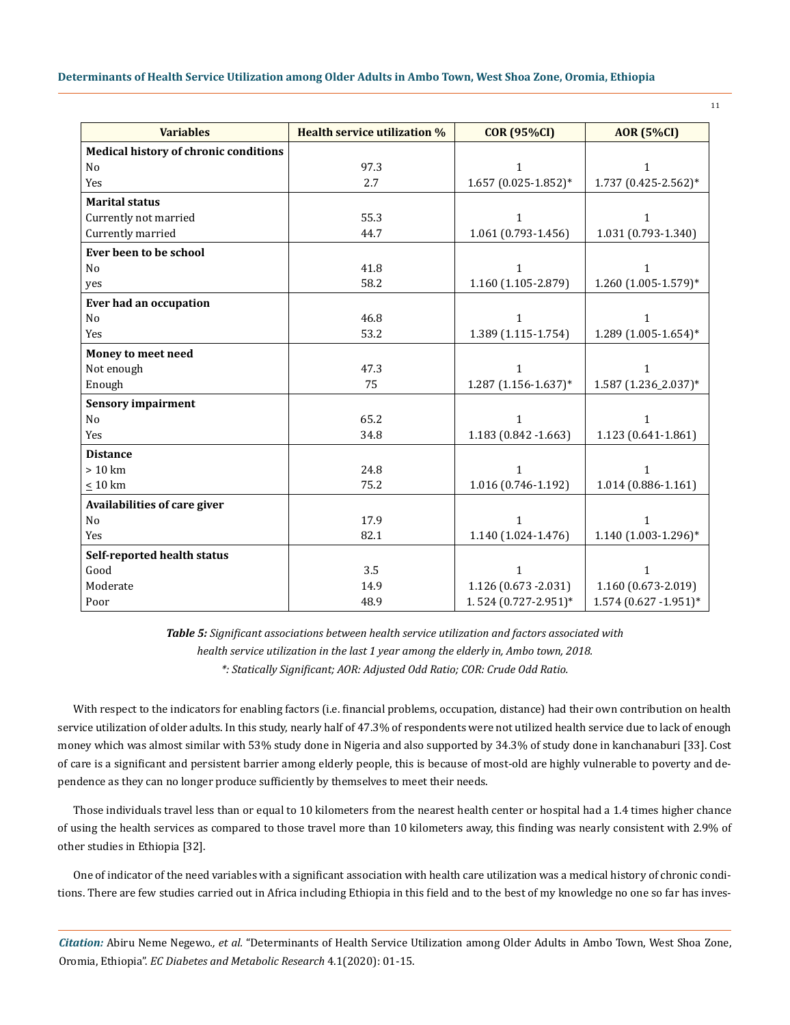| Determinants of Health Service Utilization among Older Adults in Ambo Town, West Shoa Zone, Oromia, Ethiopia |  |  |
|--------------------------------------------------------------------------------------------------------------|--|--|
|--------------------------------------------------------------------------------------------------------------|--|--|

| <b>Variables</b>                             | <b>Health service utilization %</b> | <b>COR (95%CI)</b>     | <b>AOR</b> (5%CI)        |
|----------------------------------------------|-------------------------------------|------------------------|--------------------------|
| <b>Medical history of chronic conditions</b> |                                     |                        |                          |
| N <sub>o</sub>                               | 97.3                                | 1                      | 1                        |
| Yes                                          | 2.7                                 | $1.657(0.025-1.852)*$  | $1.737(0.425 - 2.562)*$  |
| <b>Marital status</b>                        |                                     |                        |                          |
| Currently not married                        | 55.3                                | 1                      | 1                        |
| Currently married                            | 44.7                                | 1.061 (0.793-1.456)    | 1.031 (0.793-1.340)      |
| Ever been to be school                       |                                     |                        |                          |
| N <sub>0</sub>                               | 41.8                                | $\mathbf{1}$           | $\mathbf{1}$             |
| yes                                          | 58.2                                | 1.160 (1.105-2.879)    | $1.260$ (1.005-1.579)*   |
| Ever had an occupation                       |                                     |                        |                          |
| N <sub>0</sub>                               | 46.8                                | $\mathbf{1}$           | $\mathbf{1}$             |
| Yes                                          | 53.2                                | 1.389 (1.115-1.754)    | $1.289(1.005 - 1.654)^*$ |
| Money to meet need                           |                                     |                        |                          |
| Not enough                                   | 47.3                                | 1                      | $\mathbf{1}$             |
| Enough                                       | 75                                  | $1.287$ (1.156-1.637)* | 1.587 (1.236_2.037)*     |
| <b>Sensory impairment</b>                    |                                     |                        |                          |
| N <sub>0</sub>                               | 65.2                                | 1                      | $\mathbf{1}$             |
| Yes                                          | 34.8                                | 1.183 (0.842 -1.663)   | 1.123 (0.641-1.861)      |
| <b>Distance</b>                              |                                     |                        |                          |
| > 10 km                                      | 24.8                                | 1                      | 1                        |
| $\leq 10~\rm km$                             | 75.2                                | 1.016 (0.746-1.192)    | 1.014 (0.886-1.161)      |
| Availabilities of care giver                 |                                     |                        |                          |
| No                                           | 17.9                                | $\mathbf{1}$           | $\mathbf{1}$             |
| Yes                                          | 82.1                                | 1.140 (1.024-1.476)    | 1.140 (1.003-1.296)*     |
| Self-reported health status                  |                                     |                        |                          |
| Good                                         | 3.5                                 | 1                      | $\mathbf{1}$             |
| Moderate                                     | 14.9                                | 1.126 (0.673 - 2.031)  | 1.160 (0.673-2.019)      |
| Poor                                         | 48.9                                | 1.524 (0.727-2.951)*   | $1.574$ (0.627 -1.951)*  |

*Table 5: Significant associations between health service utilization and factors associated with health service utilization in the last 1 year among the elderly in, Ambo town, 2018. \*: Statically Significant; AOR: Adjusted Odd Ratio; COR: Crude Odd Ratio.*

With respect to the indicators for enabling factors (i.e. financial problems, occupation, distance) had their own contribution on health service utilization of older adults. In this study, nearly half of 47.3% of respondents were not utilized health service due to lack of enough money which was almost similar with 53% study done in Nigeria and also supported by 34.3% of study done in kanchanaburi [33]. Cost of care is a significant and persistent barrier among elderly people, this is because of most-old are highly vulnerable to poverty and dependence as they can no longer produce sufficiently by themselves to meet their needs.

Those individuals travel less than or equal to 10 kilometers from the nearest health center or hospital had a 1.4 times higher chance of using the health services as compared to those travel more than 10 kilometers away, this finding was nearly consistent with 2.9% of other studies in Ethiopia [32].

One of indicator of the need variables with a significant association with health care utilization was a medical history of chronic conditions. There are few studies carried out in Africa including Ethiopia in this field and to the best of my knowledge no one so far has inves-

*Citation:* Abiru Neme Negewo*., et al.* "Determinants of Health Service Utilization among Older Adults in Ambo Town, West Shoa Zone, Oromia, Ethiopia". *EC Diabetes and Metabolic Research* 4.1(2020): 01-15.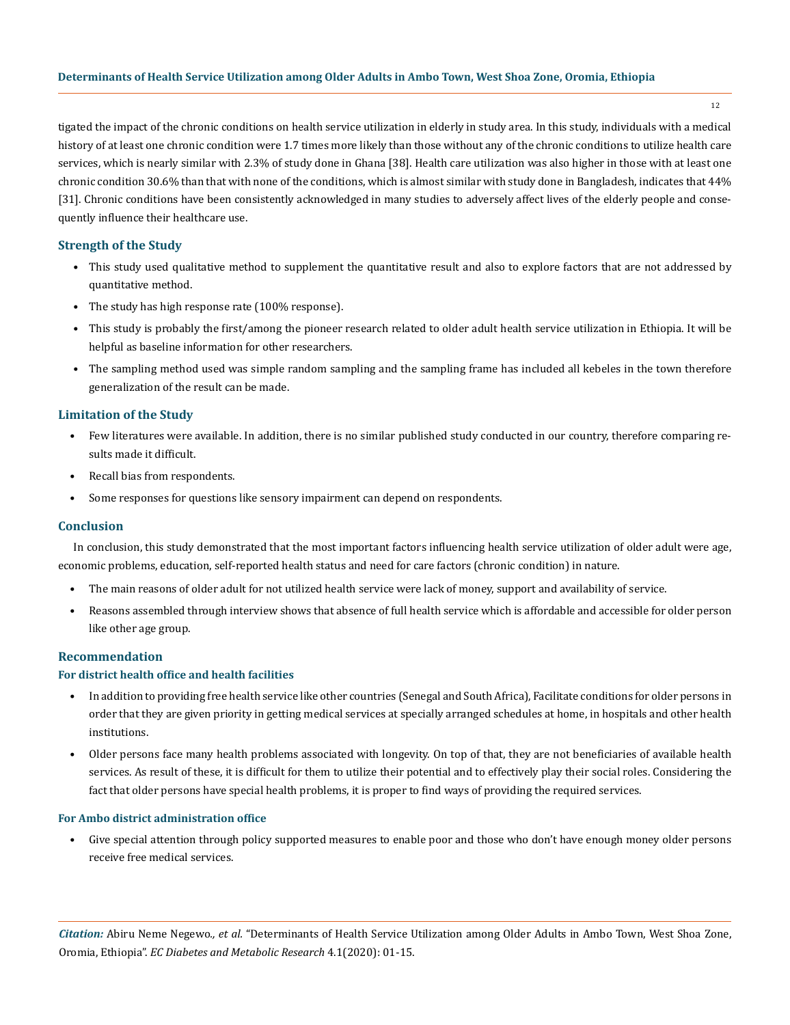### **Determinants of Health Service Utilization among Older Adults in Ambo Town, West Shoa Zone, Oromia, Ethiopia**

12

tigated the impact of the chronic conditions on health service utilization in elderly in study area. In this study, individuals with a medical history of at least one chronic condition were 1.7 times more likely than those without any of the chronic conditions to utilize health care services, which is nearly similar with 2.3% of study done in Ghana [38]. Health care utilization was also higher in those with at least one chronic condition 30.6% than that with none of the conditions, which is almost similar with study done in Bangladesh, indicates that 44% [31]. Chronic conditions have been consistently acknowledged in many studies to adversely affect lives of the elderly people and consequently influence their healthcare use.

### **Strength of the Study**

- This study used qualitative method to supplement the quantitative result and also to explore factors that are not addressed by quantitative method.
- The study has high response rate (100% response).
- This study is probably the first/among the pioneer research related to older adult health service utilization in Ethiopia. It will be helpful as baseline information for other researchers.
- The sampling method used was simple random sampling and the sampling frame has included all kebeles in the town therefore generalization of the result can be made.

### **Limitation of the Study**

- Few literatures were available. In addition, there is no similar published study conducted in our country, therefore comparing results made it difficult.
- Recall bias from respondents.
- Some responses for questions like sensory impairment can depend on respondents.

### **Conclusion**

In conclusion, this study demonstrated that the most important factors influencing health service utilization of older adult were age, economic problems, education, self-reported health status and need for care factors (chronic condition) in nature.

- The main reasons of older adult for not utilized health service were lack of money, support and availability of service.
- Reasons assembled through interview shows that absence of full health service which is affordable and accessible for older person like other age group.

### **Recommendation**

### **For district health office and health facilities**

- In addition to providing free health service like other countries (Senegal and South Africa), Facilitate conditions for older persons in order that they are given priority in getting medical services at specially arranged schedules at home, in hospitals and other health institutions.
- Older persons face many health problems associated with longevity. On top of that, they are not beneficiaries of available health services. As result of these, it is difficult for them to utilize their potential and to effectively play their social roles. Considering the fact that older persons have special health problems, it is proper to find ways of providing the required services.

### **For Ambo district administration office**

• Give special attention through policy supported measures to enable poor and those who don't have enough money older persons receive free medical services.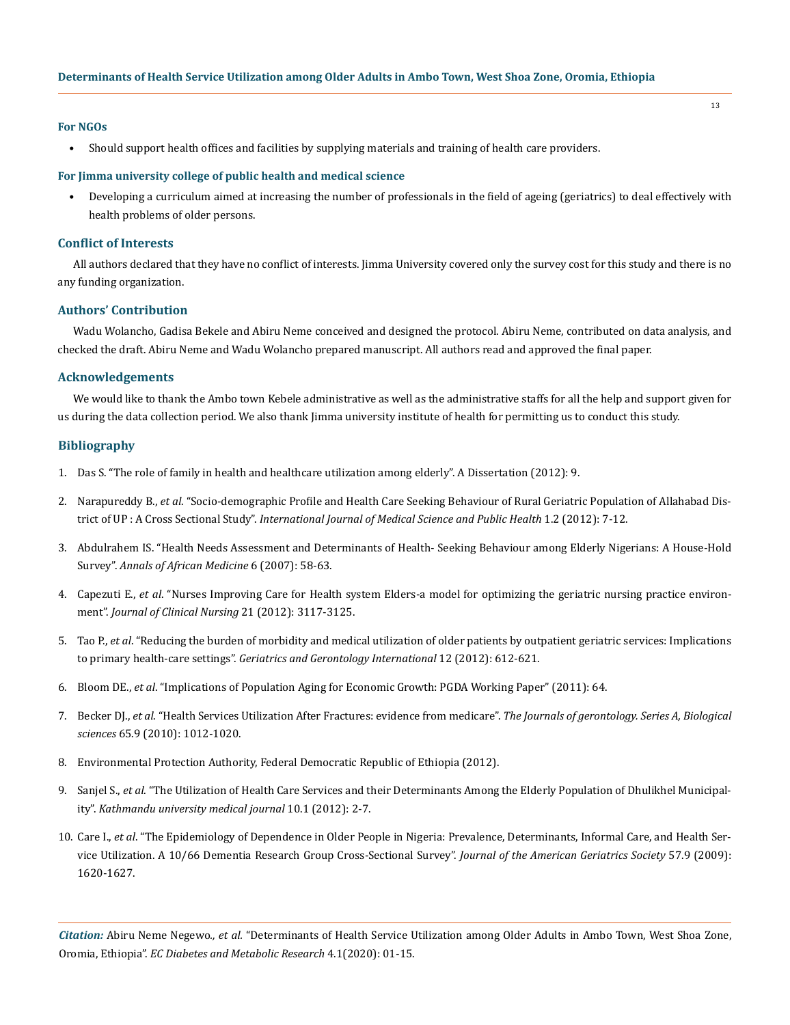### **For NGOs**

• Should support health offices and facilities by supplying materials and training of health care providers.

#### **For Jimma university college of public health and medical science**

• Developing a curriculum aimed at increasing the number of professionals in the field of ageing (geriatrics) to deal effectively with health problems of older persons.

### **Conflict of Interests**

All authors declared that they have no conflict of interests. Jimma University covered only the survey cost for this study and there is no any funding organization.

### **Authors' Contribution**

Wadu Wolancho, Gadisa Bekele and Abiru Neme conceived and designed the protocol. Abiru Neme, contributed on data analysis, and checked the draft. Abiru Neme and Wadu Wolancho prepared manuscript. All authors read and approved the final paper.

### **Acknowledgements**

We would like to thank the Ambo town Kebele administrative as well as the administrative staffs for all the help and support given for us during the data collection period. We also thank Jimma university institute of health for permitting us to conduct this study.

### **Bibliography**

- 1. [Das S. "The role of family in health and healthcare utilization among elderly". A Dissertation \(2012\): 9.](https://core.ac.uk/download/pdf/53188516.pdf)
- 2. Narapureddy B., *et al*[. "Socio-demographic Profile and Health Care Seeking Behaviour of Rural Geriatric Population of Allahabad Dis](https://www.researchgate.net/publication/264081376_Socio-demographic_profile_and_health_care_seeking_behaviour_of_rural_geriatric_population_of_Allahabad_district_of_UP_A_Cross_Sectional_Study)trict of UP : A Cross Sectional Study". *[International Journal of Medical Science and Public Health](https://www.researchgate.net/publication/264081376_Socio-demographic_profile_and_health_care_seeking_behaviour_of_rural_geriatric_population_of_Allahabad_district_of_UP_A_Cross_Sectional_Study)* 1.2 (2012): 7-12.
- 3. [Abdulrahem IS. "Health Needs Assessment and Determinants of Health- Seeking Behaviour among Elderly Nigerians: A House-Hold](https://www.ncbi.nlm.nih.gov/pubmed/18240704) Survey". *[Annals of African Medicine](https://www.ncbi.nlm.nih.gov/pubmed/18240704)* 6 (2007): 58-63.
- 4. Capezuti E., *et al*[. "Nurses Improving Care for Health system Elders-a model for optimizing the geriatric nursing practice environ](https://www.ncbi.nlm.nih.gov/pmc/articles/PMC3532620/)ment". *[Journal of Clinical Nursing](https://www.ncbi.nlm.nih.gov/pmc/articles/PMC3532620/)* 21 (2012): 3117-3125.
- 5. Tao P., *et al*[. "Reducing the burden of morbidity and medical utilization of older patients by outpatient geriatric services: Implications](https://www.ncbi.nlm.nih.gov/pubmed/22299774) to primary health-care settings". *[Geriatrics and Gerontology International](https://www.ncbi.nlm.nih.gov/pubmed/22299774)* 12 (2012): 612-621.
- 6. Bloom DE., *et al*[. "Implications of Population Aging for Economic Growth: PGDA Working Paper" \(2011\): 64.](http://citeseerx.ist.psu.edu/viewdoc/download?doi=10.1.1.698.2284&rep=rep1&type=pdf)
- 7. Becker DJ., *et al*[. "Health Services Utilization After Fractures: evidence from medicare".](https://www.ncbi.nlm.nih.gov/pubmed/20530242) *The Journals of gerontology. Series A, Biological sciences* [65.9 \(2010\): 1012-1020.](https://www.ncbi.nlm.nih.gov/pubmed/20530242)
- 8. Environmental Protection Authority, Federal Democratic Republic of Ethiopia (2012).
- 9. Sanjel S., *et al*[. "The Utilization of Health Care Services and their Determinants Among the Elderly Population of Dhulikhel Municipal](https://www.researchgate.net/publication/230841419_The_Utilization_of_Health_Care_Services_and_their_Determinants_Among_the_Elderly_Population_of_Dhulikhel_Municipality)ity". *[Kathmandu university medical journal](https://www.researchgate.net/publication/230841419_The_Utilization_of_Health_Care_Services_and_their_Determinants_Among_the_Elderly_Population_of_Dhulikhel_Municipality)* 10.1 (2012): 2-7.
- 10. Care I., *et al*[. "The Epidemiology of Dependence in Older People in Nigeria: Prevalence, Determinants, Informal Care, and Health Ser](https://www.researchgate.net/publication/26743359_The_Epidemiology_of_Dependence_in_Older_People_in_Nigeria_Prevalence_Determinants_Informal_Care_and_Health_Service_Utilization_A_1066_Dementia_Research_Group_Cross-Sectional_Survey)[vice Utilization. A 10/66 Dementia Research Group Cross-Sectional Survey".](https://www.researchgate.net/publication/26743359_The_Epidemiology_of_Dependence_in_Older_People_in_Nigeria_Prevalence_Determinants_Informal_Care_and_Health_Service_Utilization_A_1066_Dementia_Research_Group_Cross-Sectional_Survey) *Journal of the American Geriatrics Society* 57.9 (2009): [1620-1627.](https://www.researchgate.net/publication/26743359_The_Epidemiology_of_Dependence_in_Older_People_in_Nigeria_Prevalence_Determinants_Informal_Care_and_Health_Service_Utilization_A_1066_Dementia_Research_Group_Cross-Sectional_Survey)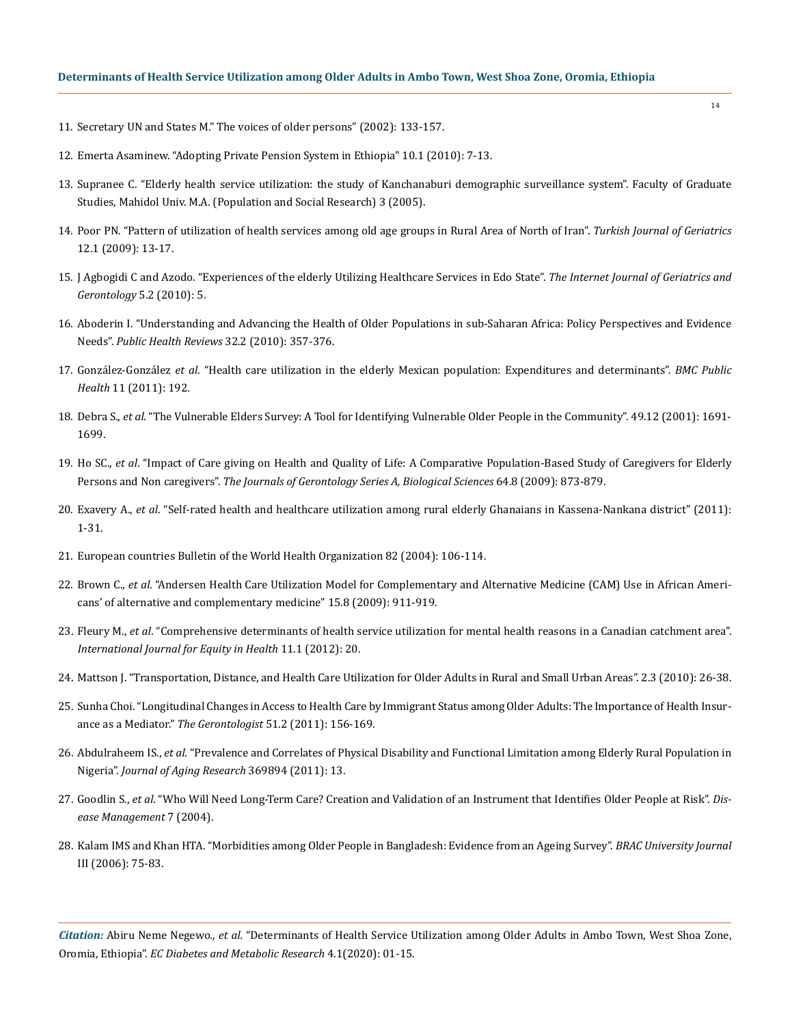- 11. Secretary UN and States M." The voices of older persons" (2002): 133-157.
- 12. Emerta Asaminew. "Adopting Private Pension System in Ethiopia" 10.1 (2010): 7-13.
- 13. Supranee C. "Elderly health service utilization: the study of Kanchanaburi demographic surveillance system". Faculty of Graduate Studies, Mahidol Univ. M.A. (Population and Social Research) 3 (2005).
- 14. [Poor PN. "Pattern of utilization of health services among old age groups in Rural Area of North of Iran".](https://www.researchgate.net/publication/229501560_PATTERN_OF_UTILIZATION_OF_HEALTH_SERVICES_AMONG_OLD_AGE_GROUPS_IN_RURAL_AREA_OF_NORTH_OF_IRAN) *Turkish Journal of Geriatrics* [12.1 \(2009\): 13-17.](https://www.researchgate.net/publication/229501560_PATTERN_OF_UTILIZATION_OF_HEALTH_SERVICES_AMONG_OLD_AGE_GROUPS_IN_RURAL_AREA_OF_NORTH_OF_IRAN)
- 15. [J Agbogidi C and Azodo. "Experiences of the elderly Utilizing Healthcare Services in Edo State".](https://www.semanticscholar.org/paper/Experiences-Of-The-Elderly-Utilizing-Healthcare-In-Agbogidi-Azodo/05aa6ab73619759bd66cc31cd70df342504c568a) *The Internet Journal of Geriatrics and [Gerontology](https://www.semanticscholar.org/paper/Experiences-Of-The-Elderly-Utilizing-Healthcare-In-Agbogidi-Azodo/05aa6ab73619759bd66cc31cd70df342504c568a)* 5.2 (2010): 5.
- 16. [Aboderin I. "Understanding and Advancing the Health of Older Populations in sub-Saharan Africa: Policy Perspectives and Evidence](https://link.springer.com/article/10.1007/BF03391607)  Needs". *[Public Health Reviews](https://link.springer.com/article/10.1007/BF03391607)* 32.2 (2010): 357-376.
- 17. González-González *et al*[. "Health care utilization in the elderly Mexican population: Expenditures and determinants".](https://bmcpublichealth.biomedcentral.com/articles/10.1186/1471-2458-11-192) *BMC Public Health* [11 \(2011\): 192.](https://bmcpublichealth.biomedcentral.com/articles/10.1186/1471-2458-11-192)
- 18. Debra S., *et al*[. "The Vulnerable Elders Survey: A Tool for Identifying Vulnerable Older People in the Community". 49.12 \(2001\): 1691-](https://www.ncbi.nlm.nih.gov/pubmed/11844005) [1699.](https://www.ncbi.nlm.nih.gov/pubmed/11844005)
- 19. Ho SC., *et al*[. "Impact of Care giving on Health and Quality of Life: A Comparative Population-Based Study of Caregivers for Elderly](https://www.google.com/search?q=Impact+of+Care+giving+on+Health+and+Quality+of+Life%3A+A+Comparative+Population-Based+Study+of+Caregivers+for+Elderly+Persons+and+Non+caregivers&rlz=1C1NHXL_enIN826IN826&oq=Impact+of+Care+giving+on+Health+and+Quality+of+Life%3A+A+Comparative+Population-Based+Study+of+Caregivers+for+Elderly+Persons+and+Non+caregivers&aqs=chrome..69i57.427j0j4&sourceid=chrome&ie=UTF-8)  Persons and Non caregivers". *[The Journals of Gerontology Series A, Biological Sciences](https://www.google.com/search?q=Impact+of+Care+giving+on+Health+and+Quality+of+Life%3A+A+Comparative+Population-Based+Study+of+Caregivers+for+Elderly+Persons+and+Non+caregivers&rlz=1C1NHXL_enIN826IN826&oq=Impact+of+Care+giving+on+Health+and+Quality+of+Life%3A+A+Comparative+Population-Based+Study+of+Caregivers+for+Elderly+Persons+and+Non+caregivers&aqs=chrome..69i57.427j0j4&sourceid=chrome&ie=UTF-8)* 64.8 (2009): 873-879.
- 20. Exavery A., *et al*[. "Self-rated health and healthcare utilization among rural elderly Ghanaians in Kassena-Nankana district" \(2011\):](https://www.semanticscholar.org/paper/Self-rated-health-and-healthcare-utilization-among-Exavery-Klipstein-Grobusch/be1eb4f2c5f9d2cca3e40eee2f394bfd4c53f40e) [1-31.](https://www.semanticscholar.org/paper/Self-rated-health-and-healthcare-utilization-among-Exavery-Klipstein-Grobusch/be1eb4f2c5f9d2cca3e40eee2f394bfd4c53f40e)
- 21. European countries Bulletin of the World Health Organization 82 (2004): 106-114.
- 22. Brown C., *et al*. "Andersen Health Care Utilization Model for Complementary and Alternative Medicine (CAM) Use in African Americans' of alternative and complementary medicine" 15.8 (2009): 911-919.
- 23. Fleury M., *et al*[. "Comprehensive determinants of health service utilization for mental health reasons in a Canadian catchment area".](https://www.researchgate.net/publication/223982082_Comprehensive_determinants_of_health_service_utilisation_for_mental_health_reasons_in_a_Canadian_catchment_area) *[International Journal for Equity in Health](https://www.researchgate.net/publication/223982082_Comprehensive_determinants_of_health_service_utilisation_for_mental_health_reasons_in_a_Canadian_catchment_area)* 11.1 (2012): 20.
- 24. [Mattson J. "Transportation, Distance, and Health Care Utilization for Older Adults in Rural and Small Urban Areas". 2.3 \(2010\): 26-38.](https://journals.sagepub.com/doi/abs/10.3141/2265-22)
- 25. [Sunha Choi. "Longitudinal Changes in Access to Health Care by Immigrant Status among Older Adults: The Importance of Health Insur](https://www.researchgate.net/publication/45537846_Longitudinal_Changes_in_Access_to_Health_Care_by_Immigrant_Status_Among_Older_Adults_The_Importance_of_Health_Insurance_as_a_Mediator)ance as a Mediator." *The Gerontologist* [51.2 \(2011\): 156-169.](https://www.researchgate.net/publication/45537846_Longitudinal_Changes_in_Access_to_Health_Care_by_Immigrant_Status_Among_Older_Adults_The_Importance_of_Health_Insurance_as_a_Mediator)
- 26. Abdulraheem IS., *et al*[. "Prevalence and Correlates of Physical Disability and Functional Limitation among Elderly Rural Population in](https://www.hindawi.com/journals/jar/2011/369894/) Nigeria". *[Journal of Aging Research](https://www.hindawi.com/journals/jar/2011/369894/)* 369894 (2011): 13.
- 27. Goodlin S., *et al*[. "Who Will Need Long‐Term Care? Creation and Validation of an Instrument that Identifies Older People at Risk".](https://www.ncbi.nlm.nih.gov/pubmed/15671784) *Dis[ease Management](https://www.ncbi.nlm.nih.gov/pubmed/15671784)* 7 (2004).
- 28. [Kalam IMS and Khan HTA. "Morbidities among Older People in Bangladesh: Evidence from an Ageing Survey".](http://dspace.bracu.ac.bd/xmlui/handle/10361/573) *BRAC University Journal*  [III \(2006\): 75-83.](http://dspace.bracu.ac.bd/xmlui/handle/10361/573)